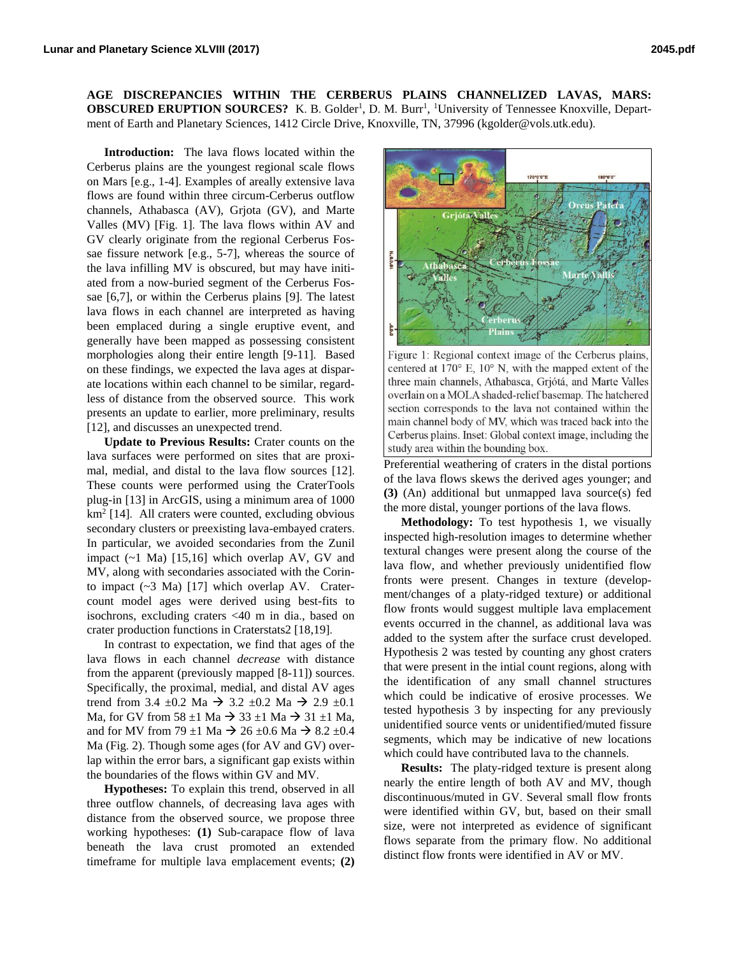**AGE DISCREPANCIES WITHIN THE CERBERUS PLAINS CHANNELIZED LAVAS, MARS: OBSCURED ERUPTION SOURCES?** K. B. Golder<sup>1</sup>, D. M. Burr<sup>1</sup>, <sup>1</sup>University of Tennessee Knoxville, Department of Earth and Planetary Sciences, 1412 Circle Drive, Knoxville, TN, 37996 (kgolder@vols.utk.edu).

**Introduction:** The lava flows located within the Cerberus plains are the youngest regional scale flows on Mars [e.g., 1-4]. Examples of areally extensive lava flows are found within three circum-Cerberus outflow channels, Athabasca (AV), Grjota (GV), and Marte Valles (MV) [Fig. 1]. The lava flows within AV and GV clearly originate from the regional Cerberus Fossae fissure network [e.g., 5-7], whereas the source of the lava infilling MV is obscured, but may have initiated from a now-buried segment of the Cerberus Fossae [6,7], or within the Cerberus plains [9]. The latest lava flows in each channel are interpreted as having been emplaced during a single eruptive event, and generally have been mapped as possessing consistent morphologies along their entire length [9-11]. Based on these findings, we expected the lava ages at disparate locations within each channel to be similar, regardless of distance from the observed source. This work presents an update to earlier, more preliminary, results [12], and discusses an unexpected trend.

**Update to Previous Results:** Crater counts on the lava surfaces were performed on sites that are proximal, medial, and distal to the lava flow sources [12]. These counts were performed using the CraterTools plug-in [13] in ArcGIS, using a minimum area of 1000 km<sup>2</sup> [14]. All craters were counted, excluding obvious secondary clusters or preexisting lava-embayed craters. In particular, we avoided secondaries from the Zunil impact (~1 Ma) [15,16] which overlap AV, GV and MV, along with secondaries associated with the Corinto impact (~3 Ma) [17] which overlap AV. Cratercount model ages were derived using best-fits to isochrons, excluding craters <40 m in dia., based on crater production functions in Craterstats2 [18,19].

In contrast to expectation, we find that ages of the lava flows in each channel *decrease* with distance from the apparent (previously mapped [8-11]) sources. Specifically, the proximal, medial, and distal AV ages trend from 3.4  $\pm$ 0.2 Ma  $\rightarrow$  3.2  $\pm$ 0.2 Ma  $\rightarrow$  2.9  $\pm$ 0.1 Ma, for GV from 58  $\pm$ 1 Ma  $\rightarrow$  33  $\pm$ 1 Ma  $\rightarrow$  31  $\pm$ 1 Ma, and for MV from 79  $\pm$ 1 Ma  $\rightarrow$  26  $\pm$ 0.6 Ma  $\rightarrow$  8.2  $\pm$ 0.4 Ma (Fig. 2). Though some ages (for AV and GV) overlap within the error bars, a significant gap exists within the boundaries of the flows within GV and MV.

**Hypotheses:** To explain this trend, observed in all three outflow channels, of decreasing lava ages with distance from the observed source, we propose three working hypotheses: **(1)** Sub-carapace flow of lava beneath the lava crust promoted an extended timeframe for multiple lava emplacement events; **(2)**



Figure 1: Regional context image of the Cerberus plains, centered at  $170^{\circ}$  E,  $10^{\circ}$  N, with the mapped extent of the three main channels, Athabasca, Grjótá, and Marte Valles overlain on a MOLA shaded-relief basemap. The hatchered section corresponds to the lava not contained within the main channel body of MV, which was traced back into the Cerberus plains. Inset: Global context image, including the study area within the bounding box.

Preferential weathering of craters in the distal portions of the lava flows skews the derived ages younger; and **(3)** (An) additional but unmapped lava source(s) fed the more distal, younger portions of the lava flows.

**Methodology:** To test hypothesis 1, we visually inspected high-resolution images to determine whether textural changes were present along the course of the lava flow, and whether previously unidentified flow fronts were present. Changes in texture (development/changes of a platy-ridged texture) or additional flow fronts would suggest multiple lava emplacement events occurred in the channel, as additional lava was added to the system after the surface crust developed. Hypothesis 2 was tested by counting any ghost craters that were present in the intial count regions, along with the identification of any small channel structures which could be indicative of erosive processes. We tested hypothesis 3 by inspecting for any previously unidentified source vents or unidentified/muted fissure segments, which may be indicative of new locations which could have contributed lava to the channels.

**Results:** The platy-ridged texture is present along nearly the entire length of both AV and MV, though discontinuous/muted in GV. Several small flow fronts were identified within GV, but, based on their small size, were not interpreted as evidence of significant flows separate from the primary flow. No additional distinct flow fronts were identified in AV or MV.